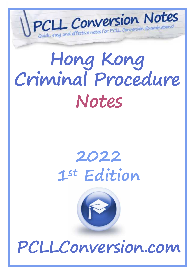

# **Hong Kong Criminal Procedure Notes**

# **2022 1st Edition**



**PCLLConversion.com**

 $\mathcal{C}^{\text{max}}$  and  $\mathcal{C}^{\text{max}}$  and  $\mathcal{C}^{\text{max}}$  and  $\mathcal{C}^{\text{max}}$  and  $\mathcal{C}^{\text{max}}$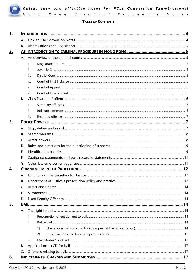

# **TABLE OF CONTENTS**

| 1.        |           |      |  |
|-----------|-----------|------|--|
|           | А.        |      |  |
|           | <b>B.</b> |      |  |
| <u>2.</u> |           |      |  |
|           |           |      |  |
|           |           | i.   |  |
|           |           | ii.  |  |
|           |           | iii. |  |
|           |           | iv.  |  |
|           |           | V.   |  |
|           |           | vi.  |  |
|           | <b>B.</b> |      |  |
|           |           | i.   |  |
|           |           | ii.  |  |
|           |           | iii. |  |
| 3.        |           |      |  |
|           | А.        |      |  |
|           | <b>B.</b> |      |  |
|           | C.        |      |  |
|           | D.        |      |  |
|           | Ε.        |      |  |
|           | F.        |      |  |
|           | G.        |      |  |
| 4.        |           |      |  |
|           |           |      |  |
|           | В.        |      |  |
|           | C.        |      |  |
|           | D.        |      |  |
|           | Е.        |      |  |
| 5.        |           |      |  |
|           | А.        |      |  |
|           |           | i.   |  |
|           |           | ii.  |  |
|           |           | 1)   |  |
|           |           | 2)   |  |
|           |           | iii. |  |
|           | В.        |      |  |
|           | C.        |      |  |
| <u>6.</u> |           |      |  |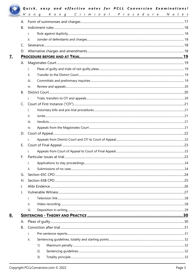|  |                | Hong Kong Criminal Procedure Notes |  |  |
|--|----------------|------------------------------------|--|--|
|  | А.             |                                    |  |  |
|  | B.             |                                    |  |  |
|  |                | i.                                 |  |  |
|  |                | ii.                                |  |  |
|  | C.             |                                    |  |  |
|  |                |                                    |  |  |
|  |                |                                    |  |  |
|  |                | $\mathbf{i}$ .                     |  |  |
|  |                | ii.                                |  |  |
|  |                | iii.                               |  |  |
|  |                | iv.                                |  |  |
|  | <b>B.</b>      |                                    |  |  |
|  |                | i.                                 |  |  |
|  |                |                                    |  |  |
|  |                | i.                                 |  |  |
|  |                | ii.                                |  |  |
|  |                | iii.                               |  |  |
|  |                | iv.                                |  |  |
|  |                |                                    |  |  |
|  |                | i.                                 |  |  |
|  | Ε.             |                                    |  |  |
|  |                | i.                                 |  |  |
|  | F.             |                                    |  |  |
|  |                | i.                                 |  |  |
|  |                | ii.                                |  |  |
|  | G.             |                                    |  |  |
|  | Η.             |                                    |  |  |
|  | $\mathsf{l}$ . |                                    |  |  |
|  | J.             |                                    |  |  |
|  |                | i.                                 |  |  |
|  |                | ii.                                |  |  |
|  |                | iii.                               |  |  |
|  |                |                                    |  |  |
|  | А.             |                                    |  |  |
|  | <b>B.</b>      |                                    |  |  |
|  |                | i.                                 |  |  |
|  |                | ii.                                |  |  |
|  |                | 1)                                 |  |  |
|  |                | 2)                                 |  |  |
|  |                | 3)                                 |  |  |
|  |                |                                    |  |  |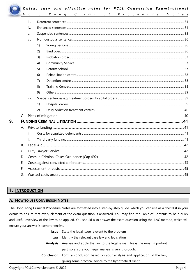

9.

# Quick, easy and effective notes for PCLL Conversion Examinations!

|      | $H$ on $g$                |    | Kong Criminal Procedure Notes |  |  |
|------|---------------------------|----|-------------------------------|--|--|
|      | iii.                      |    |                               |  |  |
|      | iv.                       |    |                               |  |  |
|      | v.                        |    |                               |  |  |
|      | vi.                       |    |                               |  |  |
|      |                           | 1) |                               |  |  |
|      |                           | 2) |                               |  |  |
|      |                           | 3) |                               |  |  |
|      |                           | 4) |                               |  |  |
|      |                           | 5) |                               |  |  |
|      |                           | 6) |                               |  |  |
|      |                           | 7) |                               |  |  |
|      |                           | 8) |                               |  |  |
|      |                           | 9) |                               |  |  |
| vii. |                           |    |                               |  |  |
|      |                           | 1) |                               |  |  |
|      |                           | 2) |                               |  |  |
| C.   |                           |    |                               |  |  |
|      |                           |    |                               |  |  |
|      |                           |    |                               |  |  |
|      | i.                        |    |                               |  |  |
|      | ii.                       |    |                               |  |  |
| В.   |                           |    |                               |  |  |
| C.   |                           |    |                               |  |  |
| D.   |                           |    |                               |  |  |
| Ε.   |                           |    |                               |  |  |
| F.   |                           |    |                               |  |  |
| G.   | 45<br>Masted costs orders |    |                               |  |  |

# 1. INTRODUCTION

# A. HOW TO USE CONVERSION NOTES

The Hong Kong Criminal Procedure Notes are formatted into a step-by-step guide, which you can use as a checklist in your exams to ensure that every element of the exam question is answered. You may find the Table of Contents to be a quick and useful overview of the law to be applied. You should also answer the exam question using the ILAC method, which will ensure your answer is comprehensive.

|            | <b>Issue</b> State the legal issue relevant to the problem               |
|------------|--------------------------------------------------------------------------|
| Law        | Identify the relevant case law and legislation                           |
| Analysis   | Analyse and apply the law to the legal issue. This is the most important |
|            | part, so ensure your legal analysis is very thorough.                    |
| Conclusion | Form a conclusion based on your analysis and application of the law,     |
|            | giving some practical advice to the hypothetical client.                 |
|            |                                                                          |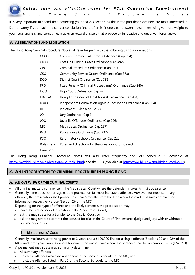It is very important to spend time perfecting your analysis section, as this is the part that examiners are most interested in. Do not worry if you reach the correct conclusion (there often isn't one clear answer) – examiners will give more weight to your legal analysis, and sometimes may even reward answers that propose an innovative and unconventional answer!

#### **B. ABBREVIATIONS AND LEGISLATION**

The Hong Kong Criminal Procedure Notes will refer frequently to the following using abbreviations.

| CCCO              | Complex Commercial Crimes Ordinance (Cap 394)                 |  |  |
|-------------------|---------------------------------------------------------------|--|--|
| <b>CICCO</b>      | Costs In Criminal Cases Ordinance (Cap 492)                   |  |  |
| <b>CPO</b>        | Criminal Procedure Ordinance (Cap 221)                        |  |  |
| <b>CSO</b>        | Community Service Orders Ordinance (Cap 378)                  |  |  |
| <b>DCO</b>        | District Court Ordinance (Cap 336)                            |  |  |
| <b>FPO</b>        | Fixed Penalty (Criminal Proceedings) Ordinance (Cap 240)      |  |  |
| <b>HCO</b>        | High Court Ordinance (Cap 4)                                  |  |  |
| <b>HKCFAO</b>     | Hong Kong Court of Final Appeal Ordinance (Cap 484)           |  |  |
| <b>ICACO</b>      | Independent Commission Against Corruption Ordinance (Cap 204) |  |  |
| IR.               | Indictment Rules (Cap 221C)                                   |  |  |
| JO                | Jury Ordinance (Cap 3)                                        |  |  |
| JOO               | Juvenile Offenders Ordinance (Cap 226)                        |  |  |
| MO                | Magistrates Ordinance (Cap 227)                               |  |  |
| PFO               | Police Force Ordinance (Cap 232)                              |  |  |
| <b>RSO</b>        | Reformatory Schools Ordinance (Cap 225)                       |  |  |
| Rules<br>and      | Rules and directions for the questioning of suspects          |  |  |
| <b>Directions</b> |                                                               |  |  |

The Hong Kong Criminal Procedure Notes will also refer frequently the MO Schedule 2 (available at http://www.hklii.hk/eng/hk/legis/ord/227/sch2.html) and the CPO (available at http://www.hklii.hk/eng/hk/legis/ord/221/).

### **2. AN INTRODUCTION TO CRIMINAL PROCEDURE IN HONG KONG**

#### **A. AN OVERVIEW OF THE CRIMINAL COURTS**

- All criminal matters commence in the Magistrates' Court where the defendant makes its first appearance.
- Generally, time does not run against the prosecution for most indictable offences. However, for most summary offences, the prosecution shall prosecute within 6 months from the time when the matter of such complaint or information respectively arose (Section 26 of the MO).
- Depending on the type of offence and the likely sentence, the prosecution may:
	- o leave the matter for determination in the Magistrates' Court;
	- o ask the magistrate for a transfer to the District Court; or
	- $\circ$  ask the magistrate to commit the accused for trial in the Court of First Instance (judge and jury) with or without a preliminary inquiry.

#### i. **MAGISTRATES' COURT**

- Generally, maximum sentencing power of 2 years and a \$100,000 fine for a single offence (Sections 92 and 92A of the MO), and three years' imprisonment for more than one offence where the sentences are to run consecutively (s 57 MO).
- A permanent magistrate may summarily determine:
	- o All summary offences;
	- o Indictable offences which do not appear in the Second Schedule to the MO; and
	- o Indictable offences listed in Part 2 of the Second Schedule to the MO.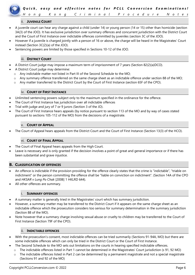

#### ii. **JUVENILE COURT**

- A juvenile court can hear any charge against a child (under 14) or young person (14 or 15) other than homicide (section 3A(3) of the JOO). It has exclusive jurisdiction over summary offences and concurrent jurisdiction with the District Court and the Court of First Instance over indictable offences committed by juveniles (section 3C of the JOO).
- However if a juvenile is charged jointly with a person of 16 or above, the charge will be heard in the Magistrates' Court instead (Section 3C(2)(a) of the JOO).
- Sentencing powers are limited by those specified in Sections 10-12 of the JOO.

#### iii. **DISTRICT COURT**

- A District Court judge may impose a maximum term of imprisonment of 7 years (Section 82(2)(a)DCO).
- A District Court judge may determine:
	- o Any indictable matter not listed in Part III of the Second Schedule to the MO;
	- o Any summary offence transferred on the same charge sheet as an indictable offence under section 88 of the MO;
	- o Any matter transferred to the District Court by the Court of First Instance (section 65F of the CPO).

#### iv. **COURT OF FIRST INSTANCE**

- Unlimited sentencing powers subject only to the maximum specified in the ordinance for the offence.
- The Court of First Instance has jurisdiction over all indictable offences
- Trial with judge and jury of 7 or 9 jurors (Section 3 of the JO).
- The Court of First Instance hears appeals (by notice pursuant to section 113 of the MO and by way of cases stated pursuant to sections 105-112 of the MO) from the decisions of a magistrate.

#### v. **COURT OF APPEAL**

The Court of Appeal hears appeals from the District Court and the Court of First Instance (Section 13(3) of the HCO).

#### vi. **COURT OF FINAL APPEAL**

- The Court of Final Appeal hears appeals from the High Court.
- Leave is necessary and is only granted if the decision involves a point of great and general importance or if there has been substantial and grave injustice.

#### **B. CLASSIFICATION OF OFFENCES**

- An offence is indictable if the provision providing for the offence clearly states that the crime is "indictable", "triable on indictment" or the person committing the offence shall be "liable on conviction on indictment". (Section 14A of the CPO and *HKSAR v Lung Po Chak* [2008] 1 HKLRD 644).
- All other offences are summary.

#### i. **SUMMARY OFFENCES**

- A summary matter is generally tried in the Magistrates' court which has summary jurisdiction.
- However, a summary matter may be transferred to the District Court if it appears on the same charge sheet as an indictable offence which the prosecution considers too serious for summary determination in the summary jurisdiction (Section 88 of the MO).
- Note however that a summary charge involving sexual abuse or cruelty to children may be transferred to the Court of First Instance (Section 79F of the CPO).

#### ii. **INDICTABLE OFFENCES**

- With the prosecution's consent, most indictable offences can be tried summarily (Sections 91-94A, MO) but there are some indictable offences which can only be tried in the District Court or the Court of First Instance.
	- The Second Schedule to the MO sets out limitations on the courts in hearing specified indictable offences.
	- o The indictable offences listed in Part 1 cannot be determined in the Magistrates' Court jurisdiction (s 91, 92 MO)
		- $\circ$  The indictable offences listed in Part 2 can be determined by a permanent magistrate and not a special magistrate (Sections 91 and 92 of the MO)